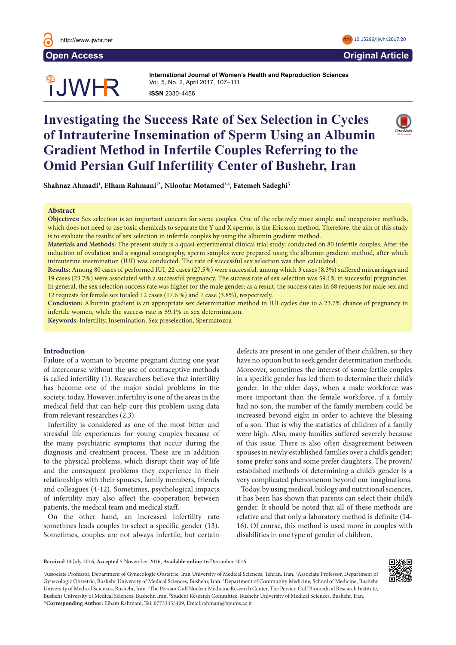

# **OUWHR**

**International Journal of Women's Health and Reproduction Sciences International Journal of Women's Health and Reproduction Sciences**  Vol. 5, No. 2, April 2017, 107–111 Vol. 3, No. 3, July 2015, 126–131 **ISSN** 2330- 4456 **ISSN** 2330- 4456

## **Investigating the Success Rate of Sex Selection in Cycles of Intrauterine Insemination of Sperm Using an Albumin Gradient Method in Infertile Couples Referring to the Omid Persian Gulf Infertility Center of Bushehr, Iran**  $\mathbf{v}$  are 'extraordinary conditions conditions created by human interventable public health problems.' War and 'problems.' War and 'problems.' War and 'problems.' War and 'problems.' War and 'problems.' War and 'proble



Shahnaz Ahmadi<sup>1</sup>, Elham Rahmani<sup>2</sup>\*, Niloofar Motamed<sup>3,4</sup>, Fatemeh Sadeghi<sup>5</sup>  $\mathbf{b}$  abuse and rape, all kinds of violence and subsequent gynecologic and obsequent gynecological physiological physiological physiological physiological physiological physiological physiological physiological physiol

#### **Abstract**  $\Delta$  betract $\Delta$

Objectives: Sex selection is an important concern for some couples. One of the relatively more simple and inexpensive methods, which does not need to use toxic chemicals to separate the Y and X sperms, is the Ericsson method. Therefore, the aim of this study is to evaluate the results of sex selection in infertile couples by using the albumin gradient method.

Materials and Methods: The present study is a quasi-experimental clinical trial study, conducted on 80 infertile couples. After the induction of ovulation and a vaginal sonography, sperm samples were prepared using the albumin gradient method, after which intrauterine insemination (IUI) was conducted. The rate of successful sex selection was then calculated.

Results: Among 80 cases of performed IUI, 22 cases (27.5%) were successful, among which 3 cases (8.3%) suffered miscarriages and 19 cases (23.7%) were associated with a successful pregnancy. The success rate of sex selection was 59.1% in successful pregnancies. In general, the sex selection success rate was higher for the male gender; as a result, the success rates in 68 requests for male sex and 12 requests for female sex totaled 12 cases  $(17.6%)$  and 1 case  $(3.8%)$ , respectively.

Conclusion: Albumin gradient is an appropriate sex determination method in IUI cycles due to a 23.7% chance of pregnancy in infertile women, while the success rate is 59.1% in sex determination.  $\blacksquare$ 

Keywords: Infertility, Insemination, Sex preselection, Spermatozoa  $\mathbf{Z}\mathbf{O}\mathbf{a}$ s such as hospitals, laboratories and laboratories and laboratories and laboratories and laboratories and laboratories and laboratories and laboratories and laboratories and laboratories and laboratories

## **Introduction**

minduction<br>Failure of a woman to become pregnant during one year of intercourse without the use of contraceptive methods is called infertility (1). Researchers believe that infertility has become one of the major social problems in the society, today. However, infertility is one of the areas in the medical field that can help cure this problem using data from relevant researches (2,3). all the contract the representation of women will be well as the will be will be will be a set of will be a set of will be a set of will be a set of will be a set of will be a set of will be a set of will be a set of will

Infertility is considered as one of the most bitter and stressful life experiences for young couples because of the many psychiatric symptoms that occur during the diagnosis and treatment process. These are in addition to the physical problems, which disrupt their way of life and the consequent problems they experience in their relationships with their spouses, family members, friends and colleagues (4-12). Sometimes, psychological impacts of infertility may also affect the cooperation between patients, the medical team and medical staff. alaghosis and trainent process. These are in additional

On the other hand, an increased infertility rate sometimes leads couples to select a specific gender (13). Sometimes, couples are not always infertile, but certain

Email: yaseminhamlaci@gmail.com

defects are present in one gender of their children, so they have no option but to seek gender determination methods. Moreover, sometimes the interest of some fertile couples in a specific gender has led them to determine their child's gender. In the older days, when a male workforce was more important than the female workforce, if a family had no son, the number of the family members could be increased beyond eight in order to achieve the blessing of a son. That is why the statistics of children of a family were high. Also, many families suffered severely because of this issue. There is also often disagreement between spouses in newly established families over a child's gender; some prefer sons and some prefer daughters. The proven/ established methods of determining a child's gender is a very complicated phenomenon beyond our imaginations.  $\frac{c}{t}$  categories are present in one generic of their emigrency  $\frac{1}{\sqrt{1-\frac{1}{\sqrt{1-\frac{1}{\sqrt{1-\frac{1}{\sqrt{1-\frac{1}{\sqrt{1-\frac{1}{\sqrt{1-\frac{1}{\sqrt{1-\frac{1}{\sqrt{1-\frac{1}{\sqrt{1-\frac{1}{\sqrt{1-\frac{1}{\sqrt{1-\frac{1}{\sqrt{1-\frac{1}{\sqrt{1-\frac{1}{\sqrt{1-\frac{1}{\sqrt{1-\frac{1}{\sqrt{1-\frac{1}{\sqrt{1-\frac{1}{\sqrt{1-\frac{1}{\sqrt{1-\frac{1}{\sqrt{1-\frac{1}{\sqrt{1-\frac{1}{\sqrt{1-\frac{1}{\sqrt{1-\frac{1}{\sqrt{1-\frac{1$ 

Today, by using medical, biology and nutritional sciences, it has been has shown that parents can select their child's gender. It should be noted that all of these methods are relative and that only a laboratory method is definite (14- 16). Of course, this method is used more in couples with disabilities in one type of gender of children.  $\mathcal{L}$  Midwifery, Sakarya University, Sakarya University, Sakarya, Turkey. Turkey. Turkey. Turkey. Turkey. Turkey. Turkey. Turkey. Turkey. Turkey. Turkey. Turkey. Turkey. Turkey. Turkey. Turkey. Turkey. Turkey. Turkey.

**Received** 14 July 2016, **Accepted** 5 November 2016, **Available online** 16 December 2016

<sup>1</sup>Associate Professor, Department of Gynecologic Obstetric. Iran University of Medical Sciences, Tehran. Iran. <sup>2</sup>Associate Professor, Department of Gynecologic Obstetric, Bushehr University of Medical Sciences, Bushehr, Iran. 3 Department of Community Medicine, School of Medicine, Bushehr University of Medical Sciences, Bushehr, Iran. 4 The Persian Gulf Nuclear Medicine Research Center, The Persian Gulf Biomedical Research Institute, Bushehr University of Medical Sciences, Bushehr, Iran. 5 Student Research Committee, Bushehr University of Medical Sciences, Bushehr, Iran. \***Corresponding Author:** Elham Rahmani, Tel: 07733455409, Email:rahmani@bpums.ac.ir



**Open Access Original Article**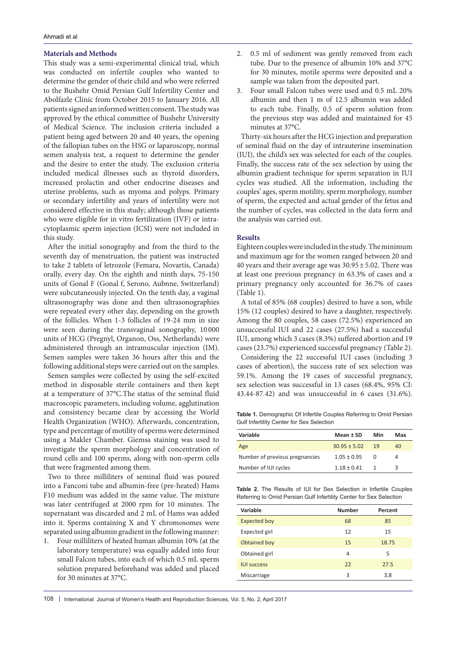#### **Materials and Methods**

This study was a semi-experimental clinical trial, which was conducted on infertile couples who wanted to determine the gender of their child and who were referred to the Bushehr Omid Persian Gulf Infertility Center and Abolfazle Clinic from October 2015 to January 2016. All patients signed an informed written consent. The study was approved by the ethical committee of Bushehr University of Medical Science. The inclusion criteria included a patient being aged between 20 and 40 years, the opening of the fallopian tubes on the HSG or laparoscopy, normal semen analysis test, a request to determine the gender and the desire to enter the study. The exclusion criteria included medical illnesses such as thyroid disorders, increased prolactin and other endocrine diseases and uterine problems, such as myoma and polyps. Primary or secondary infertility and years of infertility were not considered effective in this study; although those patients who were eligible for in vitro fertilization (IVF) or intracytoplasmic sperm injection (ICSI) were not included in this study.

After the initial sonography and from the third to the seventh day of menstruation, the patient was instructed to take 2 tablets of letrozole (Femara, Novartis, Canada) orally, every day. On the eighth and ninth days, 75-150 units of Gonal F (Gonal f, Serono, Aubnne, Switzerland) were subcutaneously injected. On the tenth day, a vaginal ultrasonography was done and then ultrasonographies were repeated every other day, depending on the growth of the follicles. When 1-3 follicles of 19-24 mm in size were seen during the transvaginal sonography, 10 000 units of HCG (Pregnyl, Organon, Oss, Netherlands) were administered through an intramuscular injection (IM). Semen samples were taken 36 hours after this and the following additional steps were carried out on the samples.

Semen samples were collected by using the self-excited method in disposable sterile containers and then kept at a temperature of 37°C.The status of the seminal fluid macroscopic parameters, including volume, agglutination and consistency became clear by accessing the World Health Organization (WHO). Afterwards, concentration, type and percentage of motility of sperms were determined using a Makler Chamber. Giemsa staining was used to investigate the sperm morphology and concentration of round cells and 100 sperms, along with non-sperm cells that were fragmented among them.

Two to three milliliters of seminal fluid was poured into a Fanconi tube and albumin-free (pre-heated) Hams F10 medium was added in the same value. The mixture was later centrifuged at 2000 rpm for 10 minutes. The supernatant was discarded and 2 mL of Hams was added into it. Sperms containing X and Y chromosomes were separated using albumin gradient in the following manner:

1. Four milliliters of heated human albumin 10% (at the laboratory temperature) was equally added into four small Falcon tubes, into each of which 0.5 mL sperm solution prepared beforehand was added and placed for 30 minutes at 37°C.

- 2. 0.5 ml of sediment was gently removed from each tube. Due to the presence of albumin 10% and 37°C for 30 minutes, motile sperms were deposited and a sample was taken from the deposited part.
- 3. Four small Falcon tubes were used and 0.5 mL 20% albumin and then 1 m of 12.5 albumin was added to each tube. Finally, 0.5 of sperm solution from the previous step was added and maintained for 45 minutes at 37°C.

Thirty-six hours after the HCG injection and preparation of seminal fluid on the day of intrauterine insemination (IUI), the child's sex was selected for each of the couples. Finally, the success rate of the sex selection by using the albumin gradient technique for sperm separation in IUI cycles was studied. All the information, including the couples' ages, sperm motility, sperm morphology, number of sperm, the expected and actual gender of the fetus and the number of cycles, was collected in the data form and the analysis was carried out.

#### **Results**

Eighteen couples were included in the study. The minimum and maximum age for the women ranged between 20 and 40 years and their average age was  $30.95 \pm 5.02$ . There was at least one previous pregnancy in 63.3% of cases and a primary pregnancy only accounted for 36.7% of cases (Table 1).

A total of 85% (68 couples) desired to have a son, while 15% (12 couples) desired to have a daughter, respectively. Among the 80 couples, 58 cases (72.5%) experienced an unsuccessful IUI and 22 cases (27.5%) had a successful IUI, among which 3 cases (8.3%) suffered abortion and 19 cases (23.7%) experienced successful pregnancy (Table 2).

Considering the 22 successful IUI cases (including 3 cases of abortion), the success rate of sex selection was 59.1%. Among the 19 cases of successful pregnancy, sex selection was successful in 13 cases (68.4%, 95% CI: 43.44-87.42) and was unsuccessful in 6 cases (31.6%).

**Table 1.** Demographic Of Infertile Couples Referring to Omid Persian Gulf Infertility Center for Sex Selection

| Variable                       | Mean ± SD        | Min          | Max |
|--------------------------------|------------------|--------------|-----|
| Age                            | $30.95 \pm 5.02$ | 19           | 40  |
| Number of previous pregnancies | $1.05 \pm 0.95$  | <sup>n</sup> | 4   |
| Number of IUI cycles           | $1.18 \pm 0.41$  |              | З   |

**Table 2.** The Results of IUI for Sex Selection in Infertile Couples Referring to Omid Persian Gulf Infertility Center for Sex Selection

| Variable            | <b>Number</b> | Percent |  |
|---------------------|---------------|---------|--|
| <b>Expected boy</b> | 68            | 85      |  |
| Expected girl       | 12            | 15      |  |
| Obtained boy        | 15            | 18.75   |  |
| Obtained girl       | 4             | 5       |  |
| <b>IUI</b> success  | 22            | 27.5    |  |
| Miscarriage         | 3             | 3.8     |  |

108 | International Journal of Women's Health and Reproduction Sciences, Vol. 5, No. 2, April 2017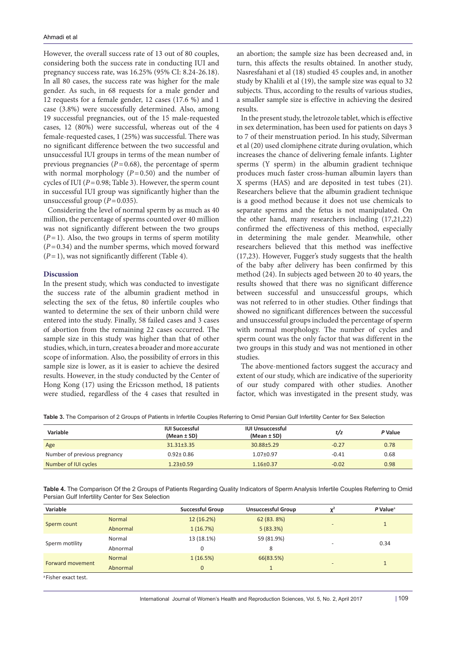However, the overall success rate of 13 out of 80 couples, considering both the success rate in conducting IUI and pregnancy success rate, was 16.25% (95% CI: 8.24-26.18). In all 80 cases, the success rate was higher for the male gender. As such, in 68 requests for a male gender and 12 requests for a female gender, 12 cases (17.6 %) and 1 case (3.8%) were successfully determined. Also, among 19 successful pregnancies, out of the 15 male-requested cases, 12 (80%) were successful, whereas out of the 4 female-requested cases, 1 (25%) was successful. There was no significant difference between the two successful and unsuccessful IUI groups in terms of the mean number of previous pregnancies  $(P=0.68)$ , the percentage of sperm with normal morphology  $(P=0.50)$  and the number of cycles of IUI ( $P = 0.98$ ; Table 3). However, the sperm count in successful IUI group was significantly higher than the unsuccessful group  $(P=0.035)$ .

Considering the level of normal sperm by as much as 40 million, the percentage of sperms counted over 40 million was not significantly different between the two groups  $(P=1)$ . Also, the two groups in terms of sperm motility (*P*=0.34) and the number sperms, which moved forward (*P*=1), was not significantly different (Table 4).

#### **Discussion**

In the present study, which was conducted to investigate the success rate of the albumin gradient method in selecting the sex of the fetus, 80 infertile couples who wanted to determine the sex of their unborn child were entered into the study. Finally, 58 failed cases and 3 cases of abortion from the remaining 22 cases occurred. The sample size in this study was higher than that of other studies, which, in turn, creates a broader and more accurate scope of information. Also, the possibility of errors in this sample size is lower, as it is easier to achieve the desired results. However, in the study conducted by the Center of Hong Kong (17) using the Ericsson method, 18 patients were studied, regardless of the 4 cases that resulted in

an abortion; the sample size has been decreased and, in turn, this affects the results obtained. In another study, Nasresfahani et al (18) studied 45 couples and, in another study by Khalili et al (19), the sample size was equal to 32 subjects. Thus, according to the results of various studies, a smaller sample size is effective in achieving the desired results.

In the present study, the letrozole tablet, which is effective in sex determination, has been used for patients on days 3 to 7 of their menstruation period. In his study, Silverman et al (20) used clomiphene citrate during ovulation, which increases the chance of delivering female infants. Lighter sperms (Y sperm) in the albumin gradient technique produces much faster cross-human albumin layers than X sperms (HAS) and are deposited in test tubes (21). Researchers believe that the albumin gradient technique is a good method because it does not use chemicals to separate sperms and the fetus is not manipulated. On the other hand, many researchers including (17,21,22) confirmed the effectiveness of this method, especially in determining the male gender. Meanwhile, other researchers believed that this method was ineffective (17,23). However, Fugger's study suggests that the health of the baby after delivery has been confirmed by this method (24). In subjects aged between 20 to 40 years, the results showed that there was no significant difference between successful and unsuccessful groups, which was not referred to in other studies. Other findings that showed no significant differences between the successful and unsuccessful groups included the percentage of sperm with normal morphology. The number of cycles and sperm count was the only factor that was different in the two groups in this study and was not mentioned in other studies.

The above-mentioned factors suggest the accuracy and extent of our study, which are indicative of the superiority of our study compared with other studies. Another factor, which was investigated in the present study, was

**Table 3.** The Comparison of 2 Groups of Patients in Infertile Couples Referring to Omid Persian Gulf Infertility Center for Sex Selection

| Variable                     | <b>IUI Successful</b><br>(Mean ± SD) | <b>IUI Unsuccessful</b><br>(Mean ± SD) | t/z     | P Value |
|------------------------------|--------------------------------------|----------------------------------------|---------|---------|
| Age                          | $31.31 + 3.35$                       | $30.88 + 5.29$                         | $-0.27$ | 0.78    |
| Number of previous pregnancy | $0.92 \pm 0.86$                      | $1.07 + 0.97$                          | $-0.41$ | 0.68    |
| Number of IUI cycles         | $1.23 + 0.59$                        | $1.16 \pm 0.37$                        | $-0.02$ | 0.98    |

**Table 4.** The Comparison Of the 2 Groups of Patients Regarding Quality Indicators of Sperm Analysis Infertile Couples Referring to Omid Persian Gulf Infertility Center for Sex Selection

| Variable                                     |          | <b>Successful Group</b> | <b>Unsuccessful Group</b> | v <sup>2</sup> | $P$ Value <sup>a</sup> |
|----------------------------------------------|----------|-------------------------|---------------------------|----------------|------------------------|
| Sperm count                                  | Normal   | 12(16.2%)               | 62 (83.8%)                |                |                        |
|                                              | Abnormal | 1(16.7%)                | 5(83.3%)                  | -              |                        |
| Sperm motility                               | Normal   | 13 (18.1%)              | 59 (81.9%)                |                | 0.34                   |
|                                              | Abnormal | 0                       | 8                         |                |                        |
| Forward movement                             | Normal   | 1(16.5%)                | 66(83.5%)                 |                |                        |
|                                              | Abnormal | $\mathbf{0}$            |                           | -              |                        |
| $\lambda$ Ficher over $\lambda$ to $\lambda$ |          |                         |                           |                |                        |

a Fisher exact test.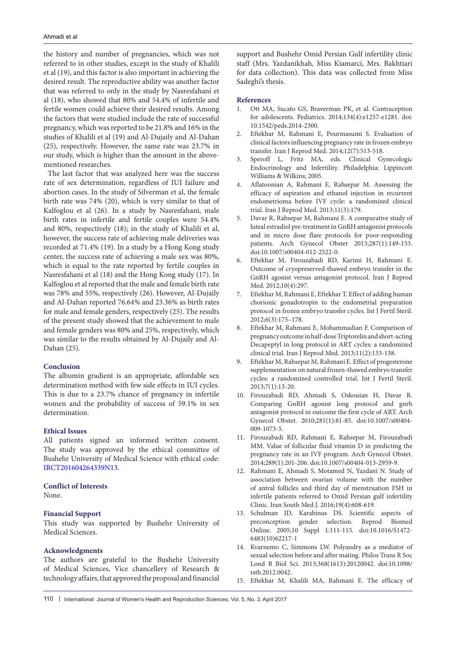the history and number of pregnancies, which was not referred to in other studies, except in the study of Khalili et al (19), and this factor is also important in achieving the desired result. The reproductive ability was another factor that was referred to only in the study by Nasresfahani et al (18), who showed that 80% and 54.4% of infertile and fertile women could achieve their desired results. Among the factors that were studied include the rate of successful pregnancy, which was reported to be 21.8% and 16% in the studies of Khalili et al (19) and Al-Dujaily and Al-Dahan (25), respectively. However, the same rate was 23.7% in our study, which is higher than the amount in the abovementioned researches.

The last factor that was analyzed here was the success rate of sex determination, regardless of IUI failure and abortion cases. In the study of Silverman et al, the female birth rate was 74% (20), which is very similar to that of Kalfoglou et al (26). In a study by Nasresfahani, male birth rates in infertile and fertile couples were 54.4% and 80%, respectively (18); in the study of Khalili et al, however, the success rate of achieving male deliveries was recorded at 71.4% (19). In a study by a Hong Kong study center, the success rate of achieving a male sex was 80%, which is equal to the rate reported by fertile couples in Nasresfahani et al (18) and the Hong Kong study (17). In Kalfoglou et al reported that the male and female birth rate was 78% and 55%, respectively (26). However, Al-Dujaily and Al-Dahan reported 76.64% and 23.36% as birth rates for male and female genders, respectively (25). The results of the present study showed that the achievement to male and female genders was 80% and 25%, respectively, which was similar to the results obtained by Al-Dujaily and Al-Dahan (25).

#### **Conclusion**

The albumin gradient is an appropriate, affordable sex determination method with few side effects in IUI cycles. This is due to a 23.7% chance of pregnancy in infertile women and the probability of success of 59.1% in sex determination.

### **Ethical Issues**

All patients signed an informed written consent. The study was approved by the ethical committee of Bushehr University of Medical Science with ethical code: [IRCT201604264339N13.](http://en.search.irct.ir/view/29877)

#### **Conflict of Interests**

None.

#### **Financial Support**

This study was supported by Bushehr University of Medical Sciences.

#### **Acknowledgments**

The authors are grateful to the Bushehr University of Medical Sciences, Vice chancellery of Research & technology affairs, that approved the proposal and financial

support and Bushehr Omid Persian Gulf infertility clinic staff (Mrs. Yazdanikhah, Miss Kiamarci, Mrs. Bakhtiari for data collection). This data was collected from Miss Sadeghi's thesis.

#### **References**

- 1. Ott MA, Sucato GS, Braverman PK, et al. Contraception for adolescents. Pediatrics. 2014;134(4):e1257-e1281. doi: 10.1542/peds.2014-2300.
- 2. Eftekhar M, Rahmani E, Pourmasumi S. Evaluation of clinical factors influencing pregnancy rate in frozen embryo transfer. Iran J Reprod Med. 2014;12(7):513-518.
- 3. Speroff L, Fritz MA, eds. Clinical Gynecologic Endocrinology and Infertility. Philadelphia: Lippincott Williams & Wilkins; 2005.
- 4. Aflatoonian A, Rahmani E, Rahsepar M. Assessing the efficacy of aspiration and ethanol injection in recurrent endometrioma before IVF cycle: a randomized clinical trial. Iran J Reprod Med. 2013;11(3):179.
- 5. Davar R, Rahsepar M, Rahmani E. A comparative study of luteal estradiol pre-treatment in GnRH antagonist protocols and in micro dose flare protocols for poor-responding patients. Arch Gynecol Obstet 2013;287(1):149-153. doi:10.1007/s00404-012-2522-0.
- 6. Eftekhar M, Firouzabadi RD, Karimi H, Rahmani E. Outcome of cryopreserved-thawed embryo transfer in the GnRH agonist versus antagonist protocol. Iran J Reprod Med. 2012;10(4):297.
- 7. Eftekhar M, Rahmani E, Eftekhar T. Effect of adding human chorionic gonadotropin to the endometrial preparation protocol in frozen embryo transfer cycles. Int J Fertil Steril. 2012;6(3):175–178.
- 8. Eftekhar M, Rahmani E, Mohammadian F. Comparison of pregnancy outcome in half-dose Triptorelin and short-acting Decapeptyl in long protocol in ART cycles: a randomized clinical trial. Iran J Reprod Med. 2013;11(2):133-138.
- 9. Eftekhar M, Rahsepar M, Rahmani E. Effect of progesterone supplementation on natural frozen-thawed embryo transfer cycles: a randomized controlled trial. Int J Fertil Steril. 2013;7(1):13-20.
- 10. Firouzabadi RD, Ahmadi S, Oskouian H, Davar R. Comparing GnRH agonist long protocol and gnrh antagonist protocol in outcome the first cycle of ART. Arch Gynecol Obstet. 2010;281(1):81-85. doi:10.1007/s00404- 009-1073-5.
- 11. Firouzabadi RD, Rahmani E, Rahsepar M, Firouzabadi MM. Value of follicular fluid vitamin D in predicting the pregnancy rate in an IVF program. Arch Gynecol Obstet. 2014;289(1):201-206. doi:10.1007/s00404-013-2959-9.
- 12. Rahmani E, Ahmadi S, Motamed N, Yazdani N. Study of association between ovarian volume with the number of antral follicles and third day of menstruation FSH in infertile patients referred to Omid Persian gulf infertility Clinic. Iran South Med J. 2016;19(4):608-619.
- 13. Schulman JD, Karabinus DS. Scientific aspects of preconception gender selection. Reprod Biomed Online. 2005;10 Suppl 1:111-115. doi:10.1016/S1472- 6483(10)62217-1
- 14. Kvarnemo C, Simmons LW. Polyandry as a mediator of sexual selection before and after mating. Philos Trans R Soc Lond B Biol Sci. 2013;368(1613):20120042. doi:10.1098/ rstb.2012.0042.
- 15. Eftekhar M, Khalili MA, Rahmani E. The efficacy of